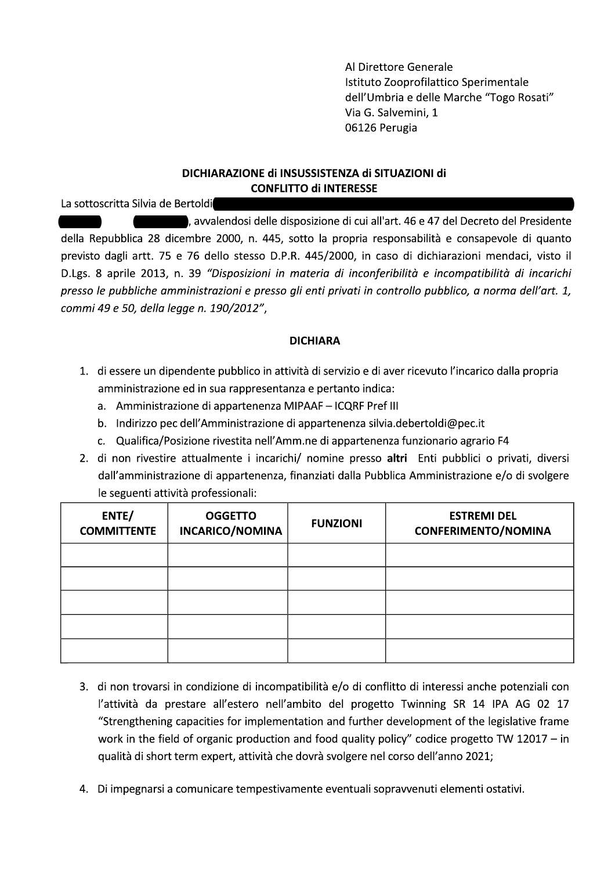Al Direttore Generale Istituto Zooprofilattico Sperimentale dell'Umbria e delle Marche "Togo Rosati" Via G. Salvemini, 1 06126 Perugia

## DICHIARAZIONE di INSUSSISTENZA di SITUAZIONI di **CONFLITTO di INTERESSE**

La sottoscritta Silvia de Bertoldi

, avvalendosi delle disposizione di cui all'art. 46 e 47 del Decreto del Presidente della Repubblica 28 dicembre 2000, n. 445, sotto la propria responsabilità e consapevole di quanto previsto dagli artt. 75 e 76 dello stesso D.P.R. 445/2000, in caso di dichiarazioni mendaci, visto il D.Lgs. 8 aprile 2013, n. 39 "Disposizioni in materia di inconferibilità e incompatibilità di incarichi presso le pubbliche amministrazioni e presso gli enti privati in controllo pubblico, a norma dell'art. 1, commi 49 e 50, della legge n. 190/2012",

## **DICHIARA**

- 1. di essere un dipendente pubblico in attività di servizio e di aver ricevuto l'incarico dalla propria amministrazione ed in sua rappresentanza e pertanto indica:
	- a. Amministrazione di appartenenza MIPAAF ICQRF Pref III
	- b. Indirizzo pec dell'Amministrazione di appartenenza silvia.debertoldi@pec.it
	- c. Qualifica/Posizione rivestita nell'Amm.ne di appartenenza funzionario agrario F4
- 2. di non rivestire attualmente i incarichi/ nomine presso altri Enti pubblici o privati, diversi dall'amministrazione di appartenenza, finanziati dalla Pubblica Amministrazione e/o di svolgere le seguenti attività professionali:

| ENTE/<br><b>COMMITTENTE</b> | <b>OGGETTO</b><br>INCARICO/NOMINA | <b>FUNZIONI</b> | <b>ESTREMI DEL</b><br><b>CONFERIMENTO/NOMINA</b> |
|-----------------------------|-----------------------------------|-----------------|--------------------------------------------------|
|                             |                                   |                 |                                                  |
|                             |                                   |                 |                                                  |
|                             |                                   |                 |                                                  |
|                             |                                   |                 |                                                  |
|                             |                                   |                 |                                                  |

- 3. di non trovarsi in condizione di incompatibilità e/o di conflitto di interessi anche potenziali con l'attività da prestare all'estero nell'ambito del progetto Twinning SR 14 IPA AG 02 17 "Strengthening capacities for implementation and further development of the legislative frame work in the field of organic production and food quality policy" codice progetto TW 12017 - in qualità di short term expert, attività che dovrà svolgere nel corso dell'anno 2021;
- 4. Di impegnarsi a comunicare tempestivamente eventuali sopravvenuti elementi ostativi.